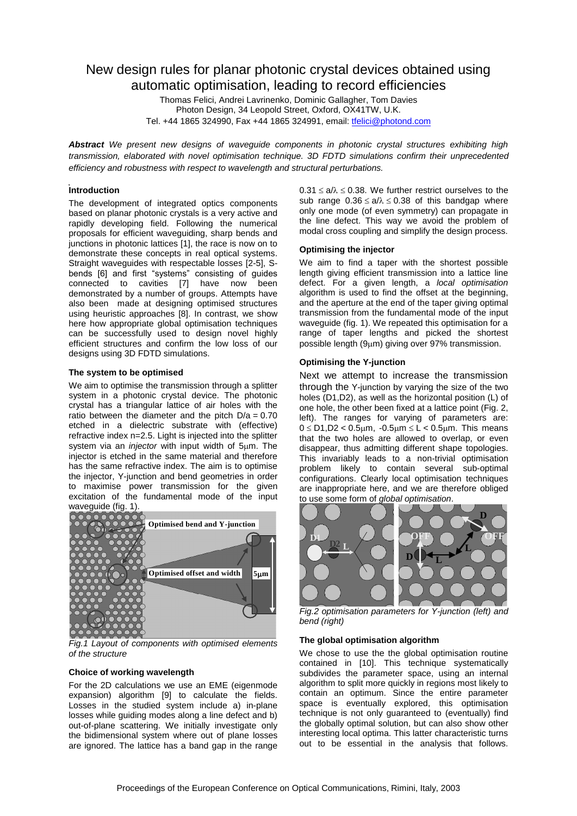# New design rules for planar photonic crystal devices obtained using automatic optimisation, leading to record efficiencies

Thomas Felici, Andrei Lavrinenko, Dominic Gallagher, Tom Davies Photon Design, 34 Leopold Street, Oxford, OX41TW, U.K. Tel. +44 1865 324990, Fax +44 1865 324991, email: *tfelici@photond.com* 

*Abstract We present new designs of waveguide components in photonic crystal structures exhibiting high transmission, elaborated with novel optimisation technique. 3D FDTD simulations confirm their unprecedented efficiency and robustness with respect to wavelength and structural perturbations.*

# **Introduction**

The development of integrated optics components based on planar photonic crystals is a very active and rapidly developing field. Following the numerical proposals for efficient waveguiding, sharp bends and junctions in photonic lattices [1], the race is now on to demonstrate these concepts in real optical systems. Straight waveguides with respectable losses [2-5], Sbends [6] and first "systems" consisting of guides connected to cavities [7] have now been demonstrated by a number of groups. Attempts have also been made at designing optimised structures using heuristic approaches [8]. In contrast, we show here how appropriate global optimisation techniques can be successfully used to design novel highly efficient structures and confirm the low loss of our designs using 3D FDTD simulations.

## **The system to be optimised**

We aim to optimise the transmission through a splitter system in a photonic crystal device. The photonic crystal has a triangular lattice of air holes with the ratio between the diameter and the pitch  $D/a = 0.70$ etched in a dielectric substrate with (effective) refractive index n=2.5. Light is injected into the splitter system via an *injector* with input width of 5um. The injector is etched in the same material and therefore has the same refractive index. The aim is to optimise the injector, Y-junction and bend geometries in order to maximise power transmission for the given excitation of the fundamental mode of the input waveguide (fig. 1).



*Fig.1 Layout of components with optimised elements of the structure*

# **Choice of working wavelength**

For the 2D calculations we use an EME (eigenmode expansion) algorithm [9] to calculate the fields. Losses in the studied system include a) in-plane losses while guiding modes along a line defect and b) out-of-plane scattering. We initially investigate only the bidimensional system where out of plane losses are ignored. The lattice has a band gap in the range

 $0.31 \le a/\lambda \le 0.38$ . We further restrict ourselves to the sub range  $0.36 \le a/\lambda \le 0.38$  of this bandgap where only one mode (of even symmetry) can propagate in the line defect. This way we avoid the problem of modal cross coupling and simplify the design process.

## **Optimising the injector**

We aim to find a taper with the shortest possible length giving efficient transmission into a lattice line defect. For a given length, a *local optimisation* algorithm is used to find the offset at the beginning, and the aperture at the end of the taper giving optimal transmission from the fundamental mode of the input waveguide (fig. 1). We repeated this optimisation for a range of taper lengths and picked the shortest possible length  $(9µm)$  giving over 97% transmission.

## **Optimising the Y-junction**

Next we attempt to increase the transmission through the Y-junction by varying the size of the two holes (D1,D2), as well as the horizontal position (L) of one hole, the other been fixed at a lattice point (Fig. 2, left). The ranges for varying of parameters are:  $0 \leq D1, D2 < 0.5 \mu m$ ,  $-0.5 \mu m \leq L < 0.5 \mu m$ . This means that the two holes are allowed to overlap, or even disappear, thus admitting different shape topologies. This invariably leads to a non-trivial optimisation problem likely to contain several sub-optimal configurations. Clearly local optimisation techniques are inappropriate here, and we are therefore obliged to use some form of *global optimisation*.



*Fig.2 optimisation parameters for Y-junction (left) and bend (right)*

## **The global optimisation algorithm**

We chose to use the the global optimisation routine contained in [10]. This technique systematically subdivides the parameter space, using an internal algorithm to split more quickly in regions most likely to contain an optimum. Since the entire parameter space is eventually explored, this optimisation technique is not only guaranteed to (eventually) find the globally optimal solution, but can also show other interesting local optima. This latter characteristic turns out to be essential in the analysis that follows.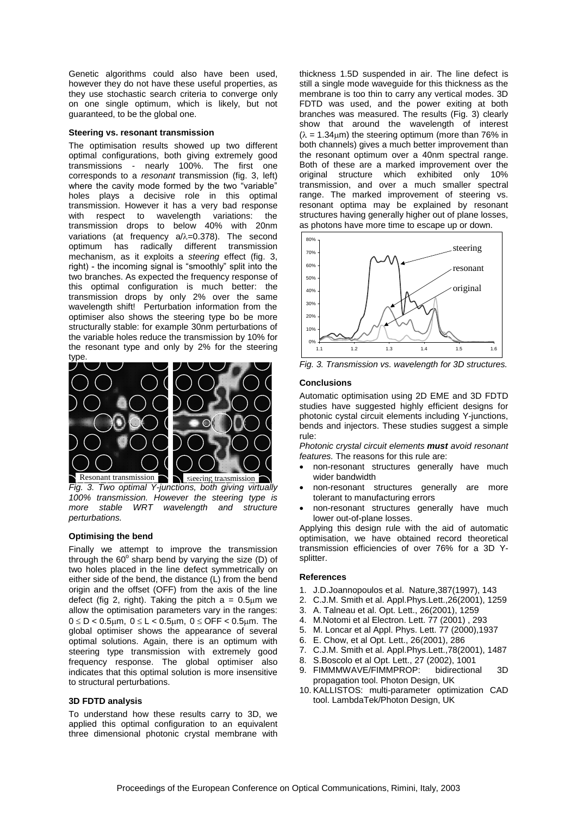Genetic algorithms could also have been used, however they do not have these useful properties, as they use stochastic search criteria to converge only on one single optimum, which is likely, but not guaranteed, to be the global one.

#### **Steering vs. resonant transmission**

The optimisation results showed up two different optimal configurations, both giving extremely good transmissions - nearly 100%. The first one corresponds to a *resonant* transmission (fig. 3, left) where the cavity mode formed by the two "variable" holes plays a decisive role in this optimal transmission. However it has a very bad response with respect to wavelength variations: the transmission drops to below 40% with 20nm variations (at frequency  $a/\lambda=0.378$ ). The second optimum has radically different transmission mechanism, as it exploits a *steering* effect (fig. 3, right) - the incoming signal is "smoothly" split into the two branches. As expected the frequency response of this optimal configuration is much better: the transmission drops by only 2% over the same wavelength shift! Perturbation information from the optimiser also shows the steering type bo be more structurally stable: for example 30nm perturbations of the variable holes reduce the transmission by 10% for the resonant type and only by 2% for the steering type



*Fig. 3. Two optimal Y-junctions, both giving virtually 100% transmission. However the steering type is more stable WRT wavelength and structure perturbations.*

## **Optimising the bend**

Finally we attempt to improve the transmission through the  $60^\circ$  sharp bend by varying the size (D) of two holes placed in the line defect symmetrically on either side of the bend, the distance (L) from the bend origin and the offset (OFF) from the axis of the line defect (fig 2, right). Taking the pitch  $a = 0.5 \mu m$  we allow the optimisation parameters vary in the ranges:  $0 \le D < 0.5 \mu m$ ,  $0 \le L < 0.5 \mu m$ ,  $0 \le OFF < 0.5 \mu m$ . The global optimiser shows the appearance of several optimal solutions. Again, there is an optimum with steering type transmission with extremely good frequency response. The global optimiser also indicates that this optimal solution is more insensitive to structural perturbations.

#### **3D FDTD analysis**

To understand how these results carry to 3D, we applied this optimal configuration to an equivalent three dimensional photonic crystal membrane with thickness 1.5D suspended in air. The line defect is still a single mode waveguide for this thickness as the membrane is too thin to carry any vertical modes. 3D FDTD was used, and the power exiting at both branches was measured. The results (Fig. 3) clearly show that around the wavelength of interest  $(\lambda = 1.34 \text{µm})$  the steering optimum (more than 76% in both channels) gives a much better improvement than the resonant optimum over a 40nm spectral range. Both of these are a marked improvement over the original structure which exhibited only 10% transmission, and over a much smaller spectral range. The marked improvement of steering vs. resonant optima may be explained by resonant structures having generally higher out of plane losses, as photons have more time to escape up or down.



*Fig. 3. Transmission vs. wavelength for 3D structures.*

#### **Conclusions**

Automatic optimisation using 2D EME and 3D FDTD studies have suggested highly efficient designs for photonic cystal circuit elements including Y-junctions, bends and injectors. These studies suggest a simple rule:

*Photonic crystal circuit elements must avoid resonant features.* The reasons for this rule are:

- non-resonant structures generally have much wider bandwidth
- non-resonant structures generally are more tolerant to manufacturing errors
- non-resonant structures generally have much lower out-of-plane losses.

Applying this design rule with the aid of automatic optimisation, we have obtained record theoretical transmission efficiencies of over 76% for a 3D Ysplitter.

## **References**

- 1. J.D.Joannopoulos et al. Nature,387(1997), 143
- 2. C.J.M. Smith et al. Appl.Phys.Lett.,26(2001), 1259
- 3. A. Talneau et al. Opt. Lett., 26(2001), 1259
- 4. M.Notomi et al Electron. Lett. 77 (2001) , 293
- 5. M. Loncar et al Appl. Phys. Lett. 77 (2000),1937
- 6. E. Chow, et al Opt. Lett., 26(2001), 286
- 7. C.J.M. Smith et al. Appl.Phys.Lett.,78(2001), 1487
- 8. S.Boscolo et al Opt. Lett., 27 (2002), 1001
- 9. FIMMMWAVE/FIMMPROP: bidirectional 3D propagation tool. Photon Design, UK
- 10. KALLISTOS: multi-parameter optimization CAD tool. LambdaTek/Photon Design, UK